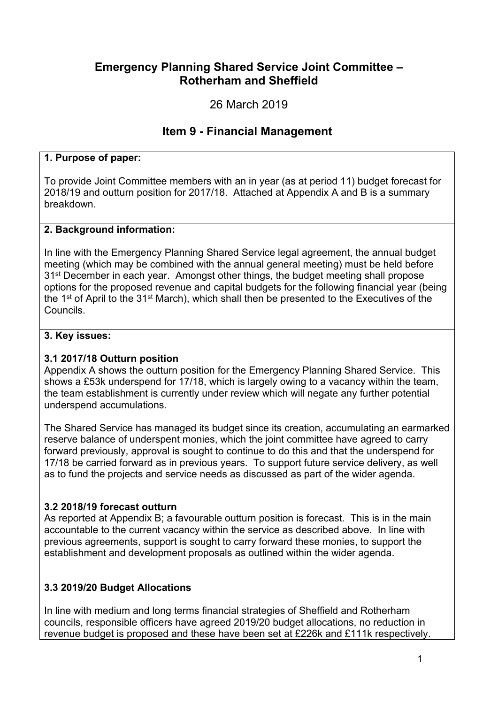# **Emergency Planning Shared Service Joint Committee – Rotherham and Sheffield**

26 March 2019

# **Item 9 - Financial Management**

### **1. Purpose of paper:**

To provide Joint Committee members with an in year (as at period 11) budget forecast for 2018/19 and outturn position for 2017/18. Attached at Appendix A and B is a summary breakdown.

#### **2. Background information:**

In line with the Emergency Planning Shared Service legal agreement, the annual budget meeting (which may be combined with the annual general meeting) must be held before 31<sup>st</sup> December in each year. Amongst other things, the budget meeting shall propose options for the proposed revenue and capital budgets for the following financial year (being the 1<sup>st</sup> of April to the 31<sup>st</sup> March), which shall then be presented to the Executives of the Councils.

#### **3. Key issues:**

#### **3.1 2017/18 Outturn position**

Appendix A shows the outturn position for the Emergency Planning Shared Service. This shows a £53k underspend for 17/18, which is largely owing to a vacancy within the team, the team establishment is currently under review which will negate any further potential underspend accumulations.

The Shared Service has managed its budget since its creation, accumulating an earmarked reserve balance of underspent monies, which the joint committee have agreed to carry forward previously, approval is sought to continue to do this and that the underspend for 17/18 be carried forward as in previous years. To support future service delivery, as well as to fund the projects and service needs as discussed as part of the wider agenda.

## **3.2 2018/19 forecast outturn**

As reported at Appendix B; a favourable outturn position is forecast. This is in the main accountable to the current vacancy within the service as described above. In line with previous agreements, support is sought to carry forward these monies, to support the establishment and development proposals as outlined within the wider agenda.

## **3.3 2019/20 Budget Allocations**

In line with medium and long terms financial strategies of Sheffield and Rotherham councils, responsible officers have agreed 2019/20 budget allocations, no reduction in revenue budget is proposed and these have been set at £226k and £111k respectively.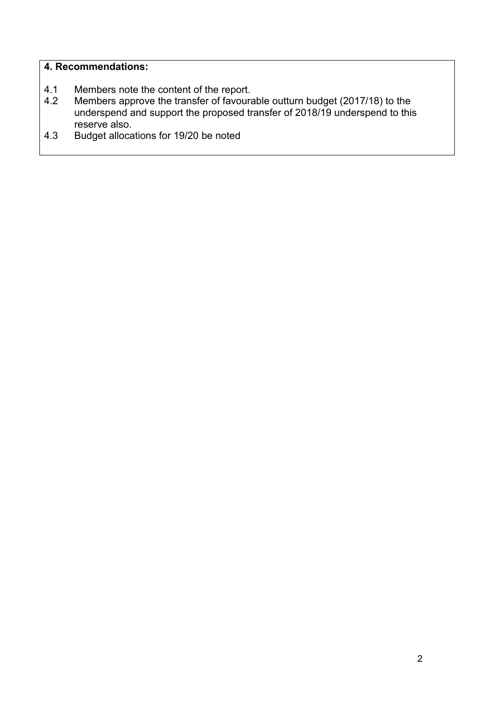#### **4. Recommendations:**

- 4.1 Members note the content of the report.
- 4.2 Members approve the transfer of favourable outturn budget (2017/18) to the underspend and support the proposed transfer of 2018/19 underspend to this reserve also.
- 4.3 Budget allocations for 19/20 be noted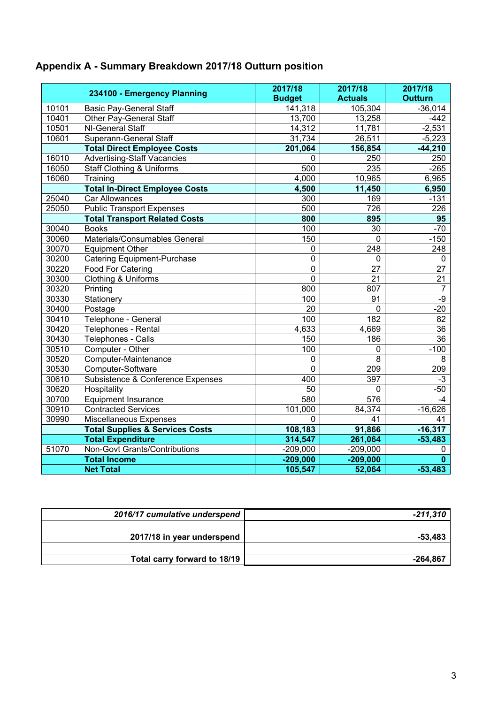# **Appendix A - Summary Breakdown 2017/18 Outturn position**

| 234100 - Emergency Planning |                                            | 2017/18<br><b>Budget</b> | 2017/18<br><b>Actuals</b> | 2017/18<br><b>Outturn</b> |
|-----------------------------|--------------------------------------------|--------------------------|---------------------------|---------------------------|
| 10101                       | <b>Basic Pay-General Staff</b>             | 141,318                  | 105,304                   | $-36,014$                 |
| 10401                       | Other Pay-General Staff                    | 13,700                   | 13,258                    | $-442$                    |
| 10501                       | NI-General Staff                           | 14,312                   | 11,781                    | $-2,531$                  |
| 10601                       | Superann-General Staff                     | 31,734                   | 26,511                    | $-5,223$                  |
|                             | <b>Total Direct Employee Costs</b>         | 201,064                  | 156,854                   | $-44,210$                 |
| 16010                       | <b>Advertising-Staff Vacancies</b>         | $\mathbf 0$              | 250                       | 250                       |
| 16050                       | <b>Staff Clothing &amp; Uniforms</b>       | 500                      | 235                       | $-265$                    |
| 16060                       | Training                                   | 4,000                    | 10,965                    | 6,965                     |
|                             | <b>Total In-Direct Employee Costs</b>      | 4,500                    | 11,450                    | 6,950                     |
| 25040                       | Car Allowances                             | 300                      | 169                       | $-131$                    |
| 25050                       | <b>Public Transport Expenses</b>           | 500                      | 726                       | 226                       |
|                             | <b>Total Transport Related Costs</b>       | 800                      | 895                       | 95                        |
| 30040                       | <b>Books</b>                               | 100                      | 30                        | $-70$                     |
| 30060                       | Materials/Consumables General              | 150                      | $\mathbf 0$               | $-150$                    |
| 30070                       | <b>Equipment Other</b>                     | 0                        | 248                       | 248                       |
| 30200                       | <b>Catering Equipment-Purchase</b>         | $\overline{0}$           | $\mathbf 0$               | $\mathbf 0$               |
| 30220                       | Food For Catering                          | $\overline{0}$           | 27                        | 27                        |
| 30300                       | Clothing & Uniforms                        | $\overline{0}$           | 21                        | 21                        |
| 30320                       | Printing                                   | 800                      | 807                       | 7                         |
| 30330                       | Stationery                                 | 100                      | 91                        | $-9$                      |
| 30400                       | Postage                                    | 20                       | $\mathbf 0$               | $-20$                     |
| 30410                       | Telephone - General                        | 100                      | 182                       | 82                        |
| 30420                       | Telephones - Rental                        | 4,633                    | 4,669                     | $\overline{36}$           |
| 30430                       | Telephones - Calls                         | 150                      | 186                       | 36                        |
| 30510                       | Computer - Other                           | 100                      | $\mathbf 0$               | $-100$                    |
| 30520                       | Computer-Maintenance                       | $\mathbf 0$              | $\overline{8}$            | 8                         |
| 30530                       | Computer-Software                          | $\overline{0}$           | 209                       | 209                       |
| 30610                       | Subsistence & Conference Expenses          | 400                      | 397                       | $-3$                      |
| 30620                       | Hospitality                                | 50                       | $\mathbf 0$               | $-50$                     |
| 30700                       | <b>Equipment Insurance</b>                 | 580                      | 576                       | -4                        |
| 30910                       | <b>Contracted Services</b>                 | 101,000                  | 84,374                    | $-16,626$                 |
| 30990                       | Miscellaneous Expenses                     | $\mathbf 0$              | 41                        | 41                        |
|                             | <b>Total Supplies &amp; Services Costs</b> | 108,183                  | 91,866                    | $-16,317$                 |
|                             | <b>Total Expenditure</b>                   | 314,547                  | 261,064                   | $-53,483$                 |
| 51070                       | Non-Govt Grants/Contributions              | $-209,000$               | $-209,000$                | 0                         |
|                             | <b>Total Income</b>                        | $-209,000$               | $-209,000$                | $\mathbf{0}$              |
|                             | <b>Net Total</b>                           | 105,547                  | 52,064                    | $-53,483$                 |

| 2016/17 cumulative underspend | -211,310 |
|-------------------------------|----------|
|                               |          |
| 2017/18 in year underspend    | -53.483  |
|                               |          |
| Total carry forward to 18/19  | -264.867 |